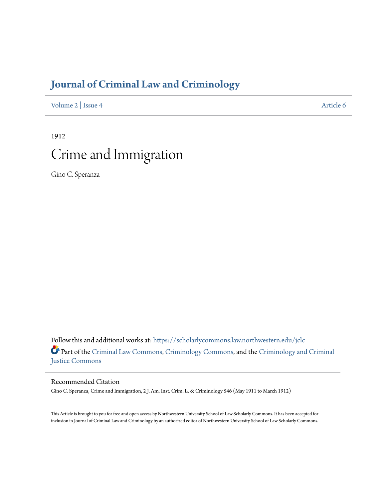## **[Journal of Criminal Law and Criminology](https://scholarlycommons.law.northwestern.edu/jclc?utm_source=scholarlycommons.law.northwestern.edu%2Fjclc%2Fvol2%2Fiss4%2F6&utm_medium=PDF&utm_campaign=PDFCoverPages)**

[Volume 2](https://scholarlycommons.law.northwestern.edu/jclc/vol2?utm_source=scholarlycommons.law.northwestern.edu%2Fjclc%2Fvol2%2Fiss4%2F6&utm_medium=PDF&utm_campaign=PDFCoverPages) | [Issue 4](https://scholarlycommons.law.northwestern.edu/jclc/vol2/iss4?utm_source=scholarlycommons.law.northwestern.edu%2Fjclc%2Fvol2%2Fiss4%2F6&utm_medium=PDF&utm_campaign=PDFCoverPages) [Article 6](https://scholarlycommons.law.northwestern.edu/jclc/vol2/iss4/6?utm_source=scholarlycommons.law.northwestern.edu%2Fjclc%2Fvol2%2Fiss4%2F6&utm_medium=PDF&utm_campaign=PDFCoverPages)

# 1912 Crime and Immigration

Gino C. Speranza

Follow this and additional works at: [https://scholarlycommons.law.northwestern.edu/jclc](https://scholarlycommons.law.northwestern.edu/jclc?utm_source=scholarlycommons.law.northwestern.edu%2Fjclc%2Fvol2%2Fiss4%2F6&utm_medium=PDF&utm_campaign=PDFCoverPages) Part of the [Criminal Law Commons](http://network.bepress.com/hgg/discipline/912?utm_source=scholarlycommons.law.northwestern.edu%2Fjclc%2Fvol2%2Fiss4%2F6&utm_medium=PDF&utm_campaign=PDFCoverPages), [Criminology Commons](http://network.bepress.com/hgg/discipline/417?utm_source=scholarlycommons.law.northwestern.edu%2Fjclc%2Fvol2%2Fiss4%2F6&utm_medium=PDF&utm_campaign=PDFCoverPages), and the [Criminology and Criminal](http://network.bepress.com/hgg/discipline/367?utm_source=scholarlycommons.law.northwestern.edu%2Fjclc%2Fvol2%2Fiss4%2F6&utm_medium=PDF&utm_campaign=PDFCoverPages) [Justice Commons](http://network.bepress.com/hgg/discipline/367?utm_source=scholarlycommons.law.northwestern.edu%2Fjclc%2Fvol2%2Fiss4%2F6&utm_medium=PDF&utm_campaign=PDFCoverPages)

#### Recommended Citation

Gino C. Speranza, Crime and Immigration, 2 J. Am. Inst. Crim. L. & Criminology 546 (May 1911 to March 1912)

This Article is brought to you for free and open access by Northwestern University School of Law Scholarly Commons. It has been accepted for inclusion in Journal of Criminal Law and Criminology by an authorized editor of Northwestern University School of Law Scholarly Commons.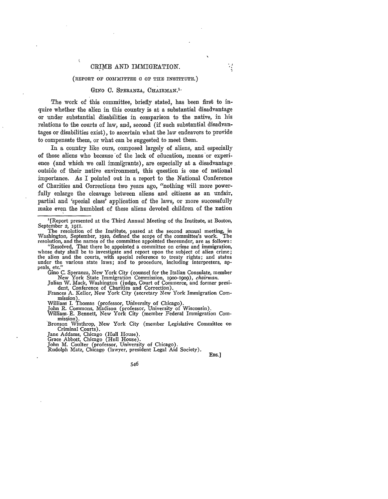### CRIME AND IMMIGRATION.

 $\left\langle$ 

#### (REPORT OF COMMITTEE G OF THE INSTITUTE.)

#### GINO C. SPERANZA, CHAIRMAN.<sup>1.</sup>

The work of this committee, briefly stated, has been first to inquire whether the alien in this country is at a substantial disadvantage or under substantial disabilities in comparison to the native, in his relations to the courts of law, and, second (if such substantial disadvantages or disabilities exist), to ascertain what the law endeavors to provide to compensate them, or what can be suggested to meet them.

In a country like ours, composed largely of aliens, and especially of those aliens who because of the lack of education, means or experience (and which we call immigrants), are especially at a disadvantage outside of their native environment, this question is one of national importance. As I pointed out in a report to the National Conference of Charities and Corrections two years ago, "nothing vill more powerfully enlarge the cleavage between aliens and citizens as an unfair, partial and 'special class' application of the laws, or more successfully make even the humblest of these aliens devoted children of the nation

Gino C. Speranza, New York City (counsel for the Italian Consulate, member New York State Immigration Commission, igoo-IgOg), *chairman.*

Julian W. Mack, Washington (judge, Court of Commerce, and former president, Conference of Charities and Correction).

Frances A. Kellor, New York City (secretary New York Immigration Commission).

William **I.** Thomas (professor, University of Chicago). John R. Commons, Madison (professor, University of Wisconsin).

William E. Bennett, New York City (member Federal Immigration Commission).

Bronson Winthrop, New York City (member Legislative Committee on Criminal Courts).

Jane Addams, Chicago (Hull House).

Grace Abbott, Chicago (Hull House). John M. Coulter (professor, University of Chicago).

Rudolph Matz, Chicago (lawyer, president Legal Aid Society).

**EDs.]**

<sup>&#</sup>x27;[Report presented at the Third Annual Meeting of the Institute, at Boston, September 2, **1911.**

The resolution of the Institute, passed at the second annual meeting, **in** Washington, September, **I910,** defined the scope of the committee's work. The resolution, and the names of the committee appointed thereunder, are as follows:

<sup>&</sup>quot;Resolved, That there be appointed a committee on crime and immigration, whose duty shall be to investigate and report upon the subject of alien crime; the alien and the courts, with special reference to treaty rights; and status under the various state laws; and to procedure, including interpreters, appeals, etc."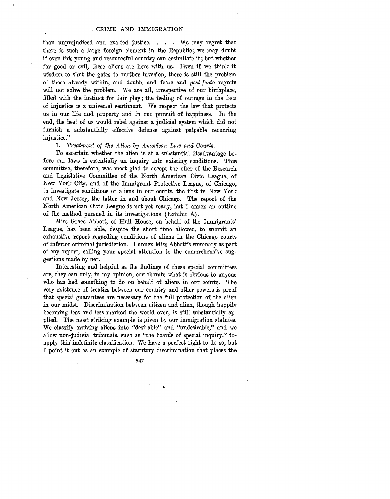than unprejudiced and exalted justice. **. . .** We may regret that there is such a large foreign element in the Republic; we may doubt if even this young and resourceful country can assimilate it; but whether for good or evil, these aliens are here with us. Even if we think it wisdom to shut the gates to further invasion, there is still the problem of those already within, and doubts and fears and *post-facto* regrets will not solve the problem. We are all, irrespective of our birthplace, filled with the instinct for fair play; the feeling of outrage in the face of injustice is a universal sentiment. We respect the law that protects us in our life and property and in our pursuit of happiness. In the end, the best of us would rebel against a judicial system which did not furnish a substantially effective defense against palpable recurring injustice."

#### 1. *Treatment of the Alie, by American Law and Courts.*

To ascertain whether the alien is at a substantial disadvantage before our laws is essentially an inquiry into existing conditions. This committee, therefore, was most glad to accept the offer of the Research and Legislative Committee of the North American Civic League, of New York City, and of the Immigrant Protective League, of Chicago, to investigate conditions of aliens in our courts, the first in New York and New Jersey, the latter in and about Chicago. The report of the North American Civic League is not yet ready, but I annex an outline of the method pursued in its investigations (Exhibit A).

Miss Grace Abbott, of Hull Rouse, on behalf of the Immigrants' League, has been able, despite the short time allowed, to submit an exhaustive report regarding conditions of aliens in the Chicago courts of inferior criminal jurisdiction. I annex Miss Abbott's summary as part of my report, calling your special attention to the comprehensive suggestions made by her.

Interesting and helpful as the findings of these special committees are, they can only, in my opinion, corroborate what is obvious to anyone who has had something to do on behalf of aliens in our courts. The very existence of treaties between our country and other powers is proof that special guarantees are necessary for the full protection of the alien in our midst. Discrimination between citizen and alien, though happily becoming less and less marked the world over, is still substantially applied. The most striking example is given by our immigration statutes. We classify arriving aliens into "desirable" and "undesirable," and we allow non-judicial tribunals, such as "the boards of special inquiry," toapply this indefinite classification. We have a perfect right to do so, but I point it out as an example of statutory discrimination that places the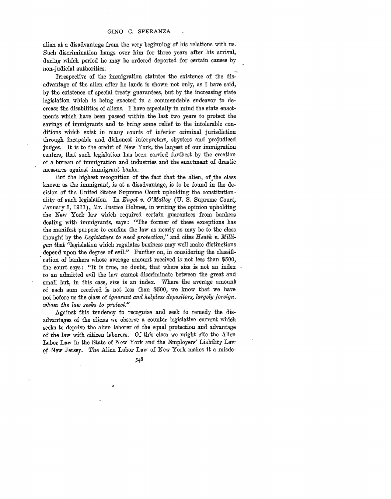alien at a disadvantage from the very beginning of his relations with us. Such discrimination hangs over him for three years after his arrival, during which period he may be ordered deported for certain causes by non-judicial authorities.

Irrespective of the immigration statutes the existence of the disadvantage of the alien after he lands is shown not only, as I have said, by the existence of special treaty guarantees, but by the increasing state legislation which is being exacted in a commendable endeavor to decrease the disabilities of aliens. I have especially in mind the state enactments which have been passed within the last two years to protect the savings of immigrants and to bring some relief to the intolerable conditions which exist in many courts of inferior criminal jurisdiction through incapable and dishonest interpreters, shysters and prejudiced judges. It is to the credit of New York, the largest of our immigration centers, that such legislation has been carried furthest by the creation of a bureau of immigration and industries and the enactment of drastic measures against immigrant banks.

But the highest recognition of the fact that the alien, of the class known as the immigrant, is at a disadvantage, is to be found in the decision of the United States Supreme Court upholding the constitutionality of such legislation. In *Engel v. O'Malley* (U. S. Supreme Court, January 3, 1911), Mr. Justice Holmes, in writing the opinion upholding the New York law which required certain guarantees from bankers dealing with immigrants, says: "The former of these exceptions has the manifest purpose to confine the law as nearly as may be to the class thought by the *Legislature to need protection,"* and cites *Heath v. Milligan* that "legislation which regulates business may well make distinctions depend upon the degree of evil." Further on, in considering the classification of bankers whose average amount received is not less than \$500, the court says: "It is true, no doubt, that where size is not an index to an admitted evil the law cannot discriminate between the great and small but, in this case, size is an index. Where the average amount of each sum received is not less than \$500, we know that we have not before us the class of *ignorant and helpless depositors, largely foreign,* whom the law seeks to protect."

Against this tendency to recognize and seek to remedy the disadvantages of the aliens we observe a counter legislative current which seeks to deprive the alien laborer of the equal protection and advantage of the law with citizen laborers. Of this class we might cite the Alien Labor Law in the State of New York and the Employers' Liability Law of *New* Jersey. The Alien Labor Law of New York makes it a misde-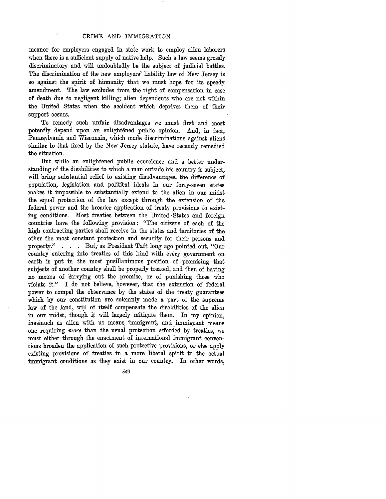#### CRIME AND IMMIGRATION

meanor for employers engaged in state work to employ alien laborers when there is a sufficient supply of native help. Such a law seems grossly discriminatory and will undoubtedly be the subject of judicial battles. The discrimination of the new employers' liability law of New Jersey is so against the spirit of humanity that we must hope for its speedy amendment. The law excludes from the right of compensation in case of death due to negligent killing; alien dependents who are not within the United States when the accident which deprives them of 'their support occurs.

To remedy such unfair disadvantages we must first and most potently depend upon an enlightened public opinion. And, in fact, Pennsylvania and Wisconsin, which made discriminations against aliens similar to that fixed by the New Jersey statute, have recently remedied the situation.

But while an enlightened public conscience and a better understanding of the disabilities to which a man outside his country is subject, will bring substantial relief to existing disadvantages, the difference of population, legislation and political ideals in our forty-seven states makes it impossible to substantially extend to the alien in our midst the equal' protection of the law except through the extension of the federal power and the broader application of treaty provisions to existing conditions. Most treaties between the United -States and foreign countries have the following provision: "The citizens of each of the high contracting parties shall receive in the states and territories of the other the most constant protection and security for their persons and property." **.** . . But; as President Taft long ago pointed out, "Our country entering into treaties of this kind with every government on earth is put in the most pusillanimous position of promising that subjects of another country shall be properly treated, and then of having no means of iarrying out the promise, or of punishing those who violate it." I do not believe, however, that the extension of federal power to compel the observance by the states of the treaty guarantees which by our constitution are solemnly made a part of the supreme law of the land, will of itself compensate the disabilities of the alien in our midst, though it will largely mitigate them. In my opinion, inasmuch as alien with us means immigrant, and immigrant means one requiring *more* than the usual protection afforded by treaties, we must either through the enactment of international immigrant conventions broaden the application of such protective provisions, or else apply existing provisions of treaties in a more liberal spirit to the actual immigrant conditions as they exist in our country. In other words,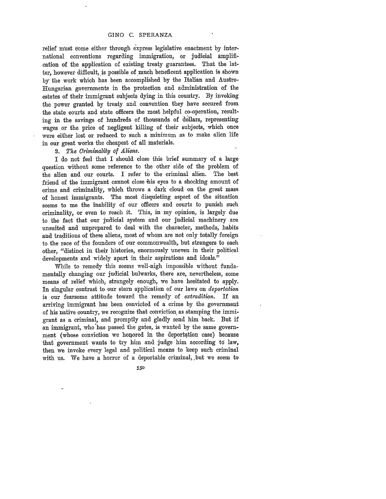relief must come either through express legislative enactment by international conventions regarding immigration, or judicial amplification of the application of existing treaty guarantees. That the latter, however difficult, is possible of much beneficent application is shown **by** the work which has been accomplished by the Italian and Austro-Hungarian governments in the protection and administration of the estates of their immigrant subjects dying in this country. **By** invoking the power granted by treaty and convention they have secured from the state courts and state officers the most helpful co-operation, resulting in the savings of hundreds of thousands of dollars, representing wages or the price of negligent killing of their subjects, which once were either lost or reduced to such a minimum as to make alien life in our great works the cheapest of all materials.

#### *2. The Criminality* **of** *Aliens.*

I do not feel that I should close this brief summary of a large question without some reference to the other side of the problem of the alien and our courts. I refer to the criminal alien. The best friend of the immigrant cannot close his eyes to a shocking amount of crime and criminality, which throws a dark cloud on the great mass of honest immigrants. The most disquieting aspect of the situation seems to me the inability of our officers and courts to punish such criminality, or even to reach it. This, in my opinion, is largely due to the fact that our judicial system and our judicial machinery are unsuited and unprepared to deal with the character, methods, habits and traditions of these aliens, most of whom are not only totally foreign to the race of the founders of our commonwealth, but strangers to each other, "distinct in their histories, enormously uneven in their political developments and widely apart in their aspirations and ideals."

While to remedy this seems well-nigh impossible without fundamentally changing our judicial bulwarks, there are, nevertheless, some means of relief which, strangely enough, we have hesitated to apply. In singular contrast to our stern application of our laws on *deportation* is our fearsome attitude toward the remedy of *extradition.* If an arriving immigrant has been convicted of a crime by the government of his native country, we recognize that conviction, as stamping the immigrant as a criminal, and promptly and gladly send him back. But if an immigrant, who'has passed the gates, is wanted by the same government (whose conviction we honored in the deportation case) because that government wants to try him and judge him according to law, then we invoke every legal and political means to keep such criminal with us. We have a horror of a deportable criminal, but we seem to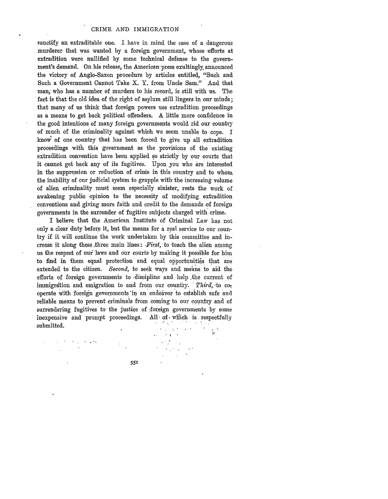sanctify an extraditable one. I have in mind the ease of a dangerous murderer that was wanted by a foreign government, whose efforts at extradition were nullified by some technical defense to the government's demand. On his release, the American press exultingly, announced the victory of Anglo-Saxon procedure by articles entitled, "Such and Such a Government Cannot Take X. Y. from Uncle Sam." And that man, who has a number of murders to his record, is still with us. The fact is that the old idea of the right of asylum still lingers in our minds; that many of us think that foreign powers use extradition proceedings as a means to get back political offenders. A little more confidence in the good intentions of many foreign governments would rid our country of much of the criminality against which we seem unable to cope. I know of one country that has been forced to give up all extradition proceedings with this government as the provisions of the existing extradition convention have been applied so strictly by our courts that it cannot get back any of its fugitives. Upon you who are interested in the suppression or reduction of crime in this country and to whom. the inability of our judicial system to grapple with- the increasing volume of alien criminality must seem especially sinister, rests the work of awakening public opinion to the necessity of modifying. extradition conventions and giving more faith and credit to the demands of foreign governments in the surrender of fugitive subjects charged with crime.

I believe that the American Institute of Criminal Law has not only a clear duty before it, but the means for a real service to our country if it will continue the work undertaken by this committee and increase it along these three main lines: *First*, to teach the alien among us the respect of our laws and our courts by making it possible for him to find in them equal protection and equal opportunities that are extended to the citizen. *Second,* to seek ways and means to aid the efforts of foreign governments to discipline and help ,the current of immigration and emigration to and from our country. *Third*, to cooperate with foreign governments in an endeavor to establish safe and reliable means to prevent criminals from coming to our country and of surrendering fugitives to the justice of foreign governments by some inexpensive and prompt proceedings. All of which is respectfully submitted.

551

**..** • 0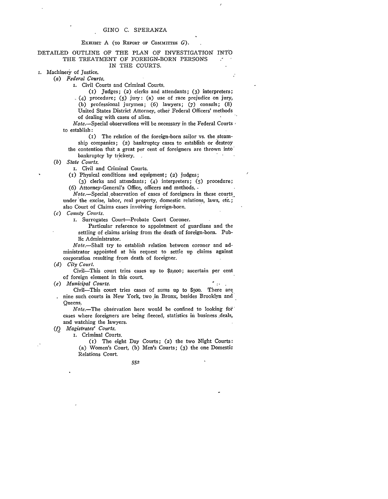#### EXHIBIT A (TO REPORT OF COMMITTEE G).

#### DETAILED OUTLINE OF THE PLAN OF INVESTIGATION INTO THE TREATMENT OF FOREIGN-BORN PERSONS IN THE COURTS.

I. Machinery of Justice.

*(a) Federal Courts.*

i. Civil Courts and Criminal Courts.

(i) Judges; (2) clerks and attendants; (3) interpreters;

**-** (4) procedure; (5) jury: (a) use of race prejudice on jury, **(b)** professional jurymen; (6) lawyers; (7) consuls; (8) United States District Attorney, other Federal Officers' methods of dealing with cases of alien.

Note.-Special observations will be necessary in the Federal Courts to establish:

(i) The relation of the foreign-born sailor vs. the steam-

ship companies; (2) bankruptcy cases to establish or destroy the contention that a great per cent of foreigners are thrown into bankruptcy by trickery.

*(b) State Courts.*

i. Civil and Criminal Courts.

**(I)** Physical conditions and equipment; (2) judges;

**(3)** clerks and attendants; (4) interpreters; **(5)** procedure; (6) Attorney-General's Office, officers and methods..

Note.-Special observation of cases of foreigners in these courts under the excise, labor, real property, domestic relations, laws, etc.; also Court of Claims cases involving foreign-born.

*(c) County Courts.*

I. Surrogates Court-Probate Court Coroner.

Particular reference to appointment of guardians and the settling of claims arising from the death of foreign-born. Public Administrator.

*Note.-Shall* try to establish relation between coroner and administrator appointed at his request to settle up claims against corporation resulting from death of foreigner.

*(d) City Court.*

Civil-This court tries cases up to \$2,ooo; ascertain per cent of foreign element in this court.

 $\chi$  and

*(e) Municipal Courts.*

Civil-This court tries cases of sums up to \$5oo. There are nine such courts in New York, two in Bronx, besides Brooklyn and Queens.

Note.-The observation here would be confined to looking for cases where foreigners are being fleeced, statistics in business deals, and watching the lawyers.

*(fQ Magistrates' Courts.*

i. Criminal Courts.

(i) The eight Day Courts; (2) the two Night Courts: (a) Women's Court, (b) Men's Courts; (3) the one Domestic Relations Court.